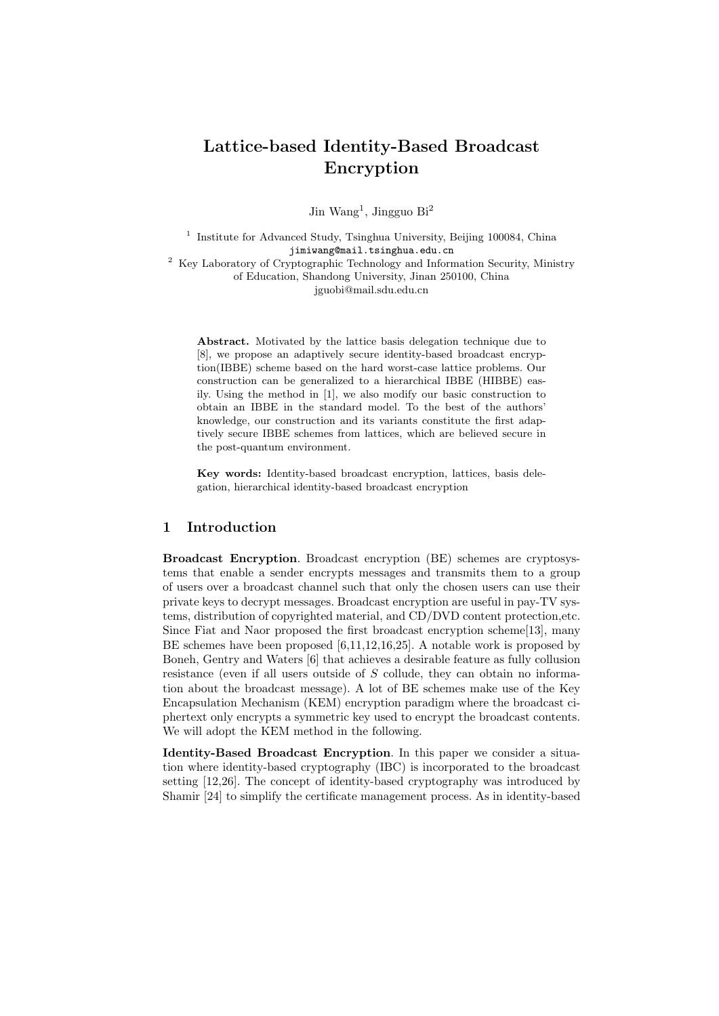# Lattice-based Identity-Based Broadcast Encryption

Jin Wang<sup>1</sup>, Jingguo Bi<sup>2</sup>

<sup>1</sup> Institute for Advanced Study, Tsinghua University, Beijing 100084, China jimiwang@mail.tsinghua.edu.cn <sup>2</sup> Key Laboratory of Cryptographic Technology and Information Security, Ministry of Education, Shandong University, Jinan 250100, China

jguobi@mail.sdu.edu.cn

Abstract. Motivated by the lattice basis delegation technique due to [8], we propose an adaptively secure identity-based broadcast encryption(IBBE) scheme based on the hard worst-case lattice problems. Our construction can be generalized to a hierarchical IBBE (HIBBE) easily. Using the method in [1], we also modify our basic construction to obtain an IBBE in the standard model. To the best of the authors' knowledge, our construction and its variants constitute the first adaptively secure IBBE schemes from lattices, which are believed secure in the post-quantum environment.

Key words: Identity-based broadcast encryption, lattices, basis delegation, hierarchical identity-based broadcast encryption

# 1 Introduction

Broadcast Encryption. Broadcast encryption (BE) schemes are cryptosystems that enable a sender encrypts messages and transmits them to a group of users over a broadcast channel such that only the chosen users can use their private keys to decrypt messages. Broadcast encryption are useful in pay-TV systems, distribution of copyrighted material, and CD/DVD content protection,etc. Since Fiat and Naor proposed the first broadcast encryption scheme[13], many BE schemes have been proposed [6,11,12,16,25]. A notable work is proposed by Boneh, Gentry and Waters [6] that achieves a desirable feature as fully collusion resistance (even if all users outside of S collude, they can obtain no information about the broadcast message). A lot of BE schemes make use of the Key Encapsulation Mechanism (KEM) encryption paradigm where the broadcast ciphertext only encrypts a symmetric key used to encrypt the broadcast contents. We will adopt the KEM method in the following.

Identity-Based Broadcast Encryption. In this paper we consider a situation where identity-based cryptography (IBC) is incorporated to the broadcast setting [12,26]. The concept of identity-based cryptography was introduced by Shamir [24] to simplify the certificate management process. As in identity-based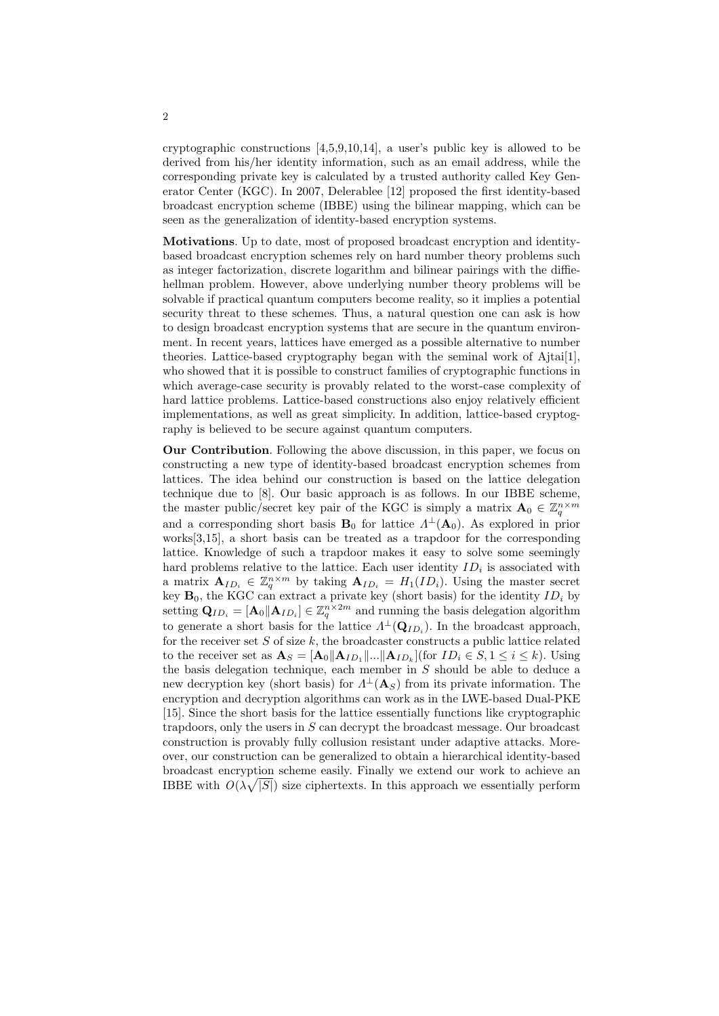cryptographic constructions [4,5,9,10,14], a user's public key is allowed to be derived from his/her identity information, such as an email address, while the corresponding private key is calculated by a trusted authority called Key Generator Center (KGC). In 2007, Delerablee [12] proposed the first identity-based broadcast encryption scheme (IBBE) using the bilinear mapping, which can be seen as the generalization of identity-based encryption systems.

Motivations. Up to date, most of proposed broadcast encryption and identitybased broadcast encryption schemes rely on hard number theory problems such as integer factorization, discrete logarithm and bilinear pairings with the diffiehellman problem. However, above underlying number theory problems will be solvable if practical quantum computers become reality, so it implies a potential security threat to these schemes. Thus, a natural question one can ask is how to design broadcast encryption systems that are secure in the quantum environment. In recent years, lattices have emerged as a possible alternative to number theories. Lattice-based cryptography began with the seminal work of Ajtai[1], who showed that it is possible to construct families of cryptographic functions in which average-case security is provably related to the worst-case complexity of hard lattice problems. Lattice-based constructions also enjoy relatively efficient implementations, as well as great simplicity. In addition, lattice-based cryptography is believed to be secure against quantum computers.

Our Contribution. Following the above discussion, in this paper, we focus on constructing a new type of identity-based broadcast encryption schemes from lattices. The idea behind our construction is based on the lattice delegation technique due to [8]. Our basic approach is as follows. In our IBBE scheme, the master public/secret key pair of the KGC is simply a matrix  $\mathbf{A}_0 \in \mathbb{Z}_q^{n \times m}$ and a corresponding short basis  $B_0$  for lattice  $\Lambda^{\perp}(A_0)$ . As explored in prior works[3,15], a short basis can be treated as a trapdoor for the corresponding lattice. Knowledge of such a trapdoor makes it easy to solve some seemingly hard problems relative to the lattice. Each user identity  $ID_i$  is associated with a matrix  $\mathbf{A}_{ID_i} \in \mathbb{Z}_q^{n \times m}$  by taking  $\mathbf{A}_{ID_i} = H_1(ID_i)$ . Using the master secret key  $\mathbf{B}_0$ , the KGC can extract a private key (short basis) for the identity  $ID_i$  by setting  $\mathbf{Q}_{ID_i} = [\mathbf{A}_0 || \mathbf{A}_{ID_i}] \in \mathbb{Z}_q^{n \times 2m}$  and running the basis delegation algorithm to generate a short basis for the lattice  $\Lambda^{\perp}(\mathbf{Q}_{ID_i})$ . In the broadcast approach, for the receiver set  $S$  of size  $k$ , the broadcaster constructs a public lattice related to the receiver set as  $\mathbf{A}_S = [\mathbf{A}_0 || \mathbf{A}_{ID_1} || ... || \mathbf{A}_{ID_k}]$  (for  $ID_i \in S, 1 \leq i \leq k$ ). Using the basis delegation technique, each member in  $S$  should be able to deduce a new decryption key (short basis) for  $\Lambda^{\perp}(\mathbf{A}_S)$  from its private information. The encryption and decryption algorithms can work as in the LWE-based Dual-PKE [15]. Since the short basis for the lattice essentially functions like cryptographic trapdoors, only the users in S can decrypt the broadcast message. Our broadcast construction is provably fully collusion resistant under adaptive attacks. Moreover, our construction can be generalized to obtain a hierarchical identity-based broadcast encryption scheme easily. Finally we extend our work to achieve an p IBBE with  $O(\lambda \sqrt{|S|})$  size ciphertexts. In this approach we essentially perform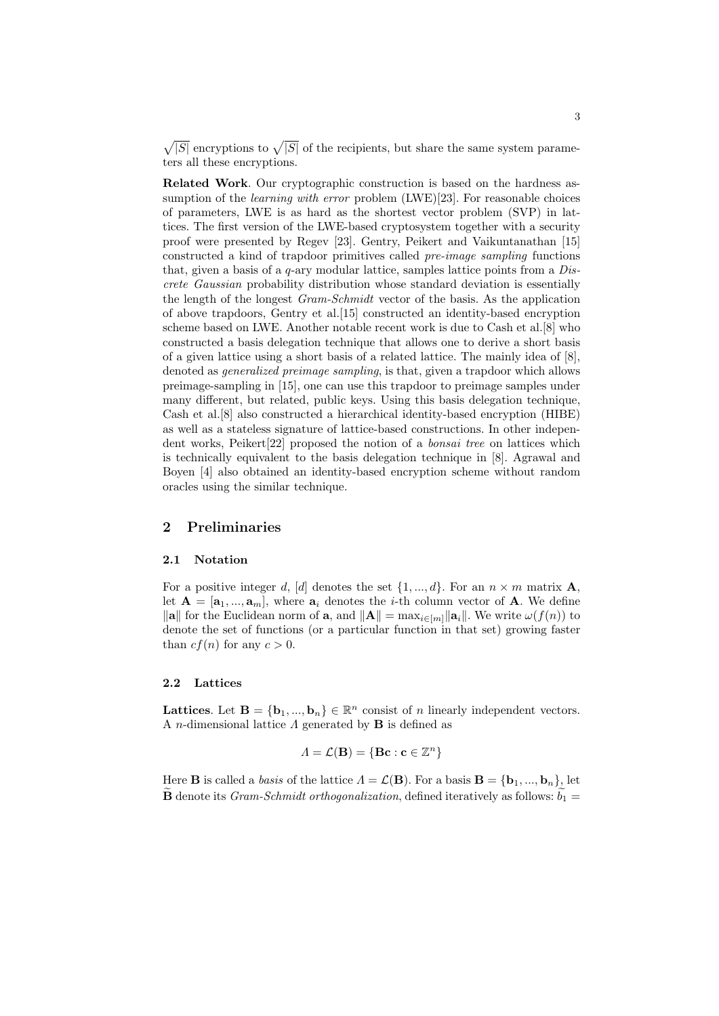$\sqrt{|S|}$  encryptions to  $\sqrt{|S|}$  of the recipients, but share the same system parameters all these encryptions.

Related Work. Our cryptographic construction is based on the hardness assumption of the *learning with error* problem (LWE)[23]. For reasonable choices of parameters, LWE is as hard as the shortest vector problem (SVP) in lattices. The first version of the LWE-based cryptosystem together with a security proof were presented by Regev [23]. Gentry, Peikert and Vaikuntanathan [15] constructed a kind of trapdoor primitives called pre-image sampling functions that, given a basis of a  $q$ -ary modular lattice, samples lattice points from a  $Dis$ crete Gaussian probability distribution whose standard deviation is essentially the length of the longest Gram-Schmidt vector of the basis. As the application of above trapdoors, Gentry et al.[15] constructed an identity-based encryption scheme based on LWE. Another notable recent work is due to Cash et al.[8] who constructed a basis delegation technique that allows one to derive a short basis of a given lattice using a short basis of a related lattice. The mainly idea of [8], denoted as *generalized preimage sampling*, is that, given a trapdoor which allows preimage-sampling in [15], one can use this trapdoor to preimage samples under many different, but related, public keys. Using this basis delegation technique, Cash et al.[8] also constructed a hierarchical identity-based encryption (HIBE) as well as a stateless signature of lattice-based constructions. In other independent works, Peikert[22] proposed the notion of a bonsai tree on lattices which is technically equivalent to the basis delegation technique in [8]. Agrawal and Boyen [4] also obtained an identity-based encryption scheme without random oracles using the similar technique.

# 2 Preliminaries

#### 2.1 Notation

For a positive integer d, [d] denotes the set  $\{1, ..., d\}$ . For an  $n \times m$  matrix **A**, let  $\mathbf{A} = [\mathbf{a}_1, ..., \mathbf{a}_m]$ , where  $\mathbf{a}_i$  denotes the *i*-th column vector of **A**. We define  $\|\mathbf{a}\|$  for the Euclidean norm of **a**, and  $\|\mathbf{A}\| = \max_{i \in [m]} \|\mathbf{a}_i\|$ . We write  $\omega(f(n))$  to denote the set of functions (or a particular function in that set) growing faster than  $cf(n)$  for any  $c > 0$ .

#### 2.2 Lattices

Lattices. Let  $\mathbf{B} = {\mathbf{b}_1, ..., \mathbf{b}_n} \in \mathbb{R}^n$  consist of n linearly independent vectors. A *n*-dimensional lattice  $\Lambda$  generated by **B** is defined as

$$
\Lambda = \mathcal{L}(\mathbf{B}) = \{ \mathbf{B}\mathbf{c} : \mathbf{c} \in \mathbb{Z}^n \}
$$

Here **B** is called a *basis* of the lattice  $\Lambda = \mathcal{L}(\mathbf{B})$ . For a basis  $\mathbf{B} = {\mathbf{b}_1, ..., \mathbf{b}_n}$ , let **B** denote its *Gram-Schmidt orthogonalization*, defined iteratively as follows:  $b_1 =$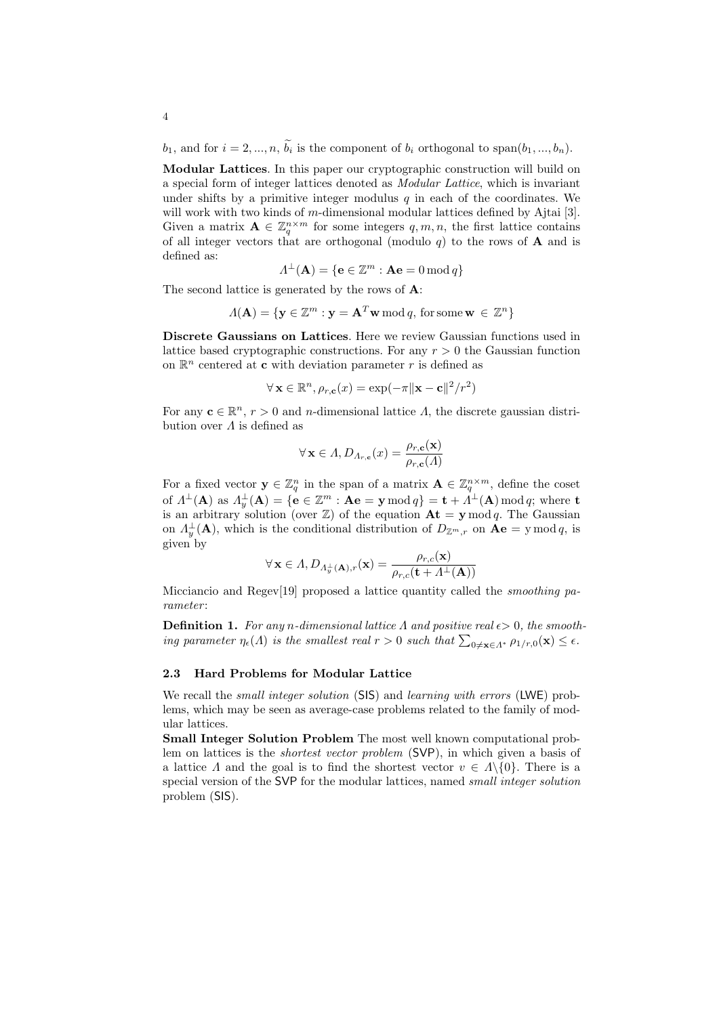$b_1$ , and for  $i = 2, ..., n$ ,  $\widetilde{b_i}$  is the component of  $b_i$  orthogonal to span $(b_1, ..., b_n)$ .

Modular Lattices. In this paper our cryptographic construction will build on a special form of integer lattices denoted as Modular Lattice, which is invariant under shifts by a primitive integer modulus  $q$  in each of the coordinates. We will work with two kinds of m-dimensional modular lattices defined by Ajtai [3]. Given a matrix  $\mathbf{A} \in \mathbb{Z}_q^{n \times m}$  for some integers  $q, m, n$ , the first lattice contains of all integer vectors that are orthogonal (modulo  $q$ ) to the rows of **A** and is defined as:

$$
\Lambda^{\perp}(\mathbf{A}) = \{ \mathbf{e} \in \mathbb{Z}^m : \mathbf{A}\mathbf{e} = 0 \,\text{mod}\, q \}
$$

The second lattice is generated by the rows of A:

$$
\Lambda(\mathbf{A}) = \{ \mathbf{y} \in \mathbb{Z}^m : \mathbf{y} = \mathbf{A}^T \mathbf{w} \bmod q, \text{ for some } \mathbf{w} \in \mathbb{Z}^n \}
$$

Discrete Gaussians on Lattices. Here we review Gaussian functions used in lattice based cryptographic constructions. For any  $r > 0$  the Gaussian function on  $\mathbb{R}^n$  centered at **c** with deviation parameter r is defined as

$$
\forall \mathbf{x} \in \mathbb{R}^n, \rho_{r,\mathbf{c}}(x) = \exp(-\pi \|\mathbf{x} - \mathbf{c}\|^2 / r^2)
$$

For any  $\mathbf{c} \in \mathbb{R}^n$ ,  $r > 0$  and *n*-dimensional lattice  $\Lambda$ , the discrete gaussian distribution over  $\Lambda$  is defined as

$$
\forall \mathbf{x} \in \Lambda, D_{\Lambda_{r,c}}(x) = \frac{\rho_{r,c}(\mathbf{x})}{\rho_{r,c}(\Lambda)}
$$

For a fixed vector  $\mathbf{y} \in \mathbb{Z}_q^n$  in the span of a matrix  $\mathbf{A} \in \mathbb{Z}_q^{n \times m}$ , define the coset of  $\Lambda^\perp(\mathbf{A})$  as  $\Lambda_y^\perp(\mathbf{A}) = \{\mathbf{e}\in\mathbb{Z}^m:\mathbf{A}\mathbf{e}=\mathbf{y}\,\text{mod}\,q\} = \mathbf{t} + \Lambda^\perp(\mathbf{A})\,\text{mod}\,q;$  where  $\mathbf{t}$ is an arbitrary solution (over  $\mathbb{Z}$ ) of the equation  $\mathbf{At} = \mathbf{y} \mod q$ . The Gaussian on  $\Lambda_y^{\perp}(\mathbf{A})$ , which is the conditional distribution of  $D_{\mathbb{Z}^m,r}$  on  $\mathbf{A}\mathbf{e} = \mathbf{y} \bmod q$ , is given by

$$
\forall \mathbf{x} \in \Lambda, D_{\Lambda_y^\perp(\mathbf{A}),r}(\mathbf{x}) = \frac{\rho_{r,c}(\mathbf{x})}{\rho_{r,c}(\mathbf{t} + \Lambda^\perp(\mathbf{A}))}
$$

Micciancio and Regev[19] proposed a lattice quantity called the *smoothing pa*rameter :

**Definition 1.** For any n-dimensional lattice  $\Lambda$  and positive real  $\epsilon > 0$ , the smooth-**Definition 1.** For any n-annearmonal lattice A and positive real  $\epsilon > 0$ , the smooting parameter  $\eta_{\epsilon}(\Lambda)$  is the smallest real  $r > 0$  such that  $\sum_{0 \neq \mathbf{x} \in \Lambda^*} \rho_{1/r,0}(\mathbf{x}) \leq \epsilon$ .

#### 2.3 Hard Problems for Modular Lattice

We recall the *small integer solution* (SIS) and *learning with errors* (LWE) problems, which may be seen as average-case problems related to the family of modular lattices.

Small Integer Solution Problem The most well known computational problem on lattices is the shortest vector problem (SVP), in which given a basis of a lattice  $\Lambda$  and the goal is to find the shortest vector  $v \in \Lambda \backslash \{0\}$ . There is a special version of the SVP for the modular lattices, named *small integer solution* problem (SIS).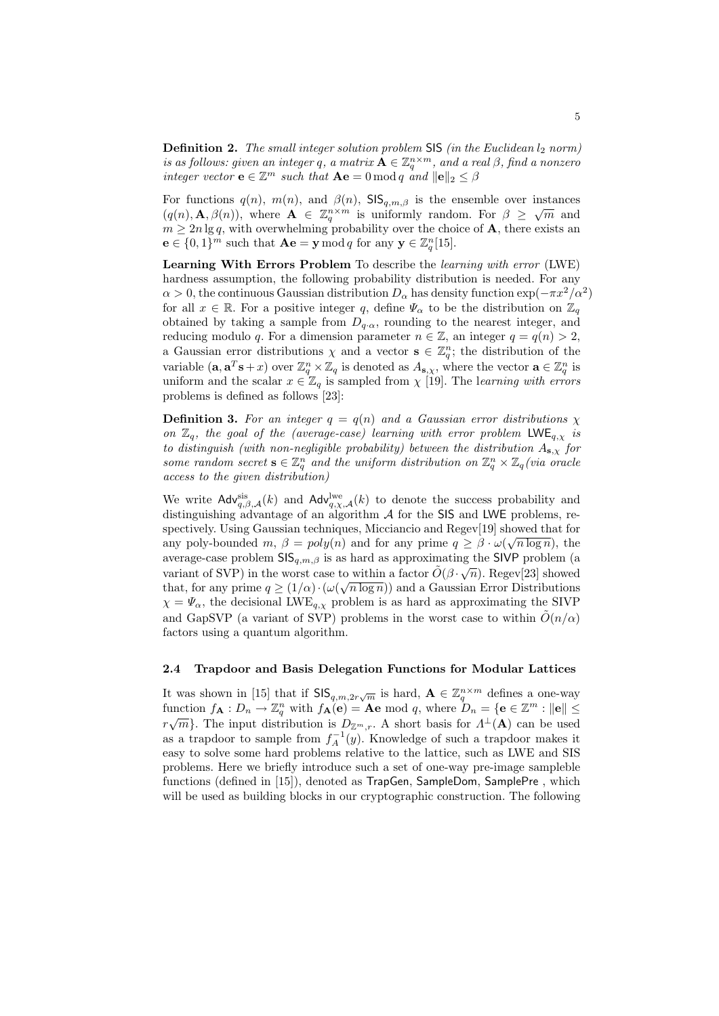**Definition 2.** The small integer solution problem  $\textsf{SIS}(in\ the\ Euclidean\ l_2\ norm)$ is as follows: given an integer q, a matrix  $\mathbf{A} \in \mathbb{Z}_q^{n \times m}$ , and a real  $\beta$ , find a nonzero integer vector  $\mathbf{e} \in \mathbb{Z}^m$  such that  $\mathbf{A}\mathbf{e} = 0 \bmod q$  and  $\|\mathbf{e}\|_2 \leq \beta$ 

For functions  $q(n)$ ,  $m(n)$ , and  $\beta(n)$ ,  $\text{SIS}_{q,m,\beta}$  is the ensemble over instances  $(q(n), \mathbf{A}, \beta(n))$ , where  $\mathbf{A} \in \mathbb{Z}_q^{n \times m}$  is uniformly random. For  $\beta \geq \sqrt{m}$  and  $m \geq 2n \lg q$ , with overwhelming probability over the choice of **A**, there exists an  $\mathbf{e} \in \{0,1\}^m$  such that  $\mathbf{A}\mathbf{e} = \mathbf{y} \bmod q$  for any  $\mathbf{y} \in \mathbb{Z}_q^n[15]$ .

Learning With Errors Problem To describe the learning with error (LWE) hardness assumption, the following probability distribution is needed. For any  $\alpha > 0$ , the continuous Gaussian distribution  $D_{\alpha}$  has density function  $\exp(-\pi x^2/\alpha^2)$ for all  $x \in \mathbb{R}$ . For a positive integer q, define  $\Psi_{\alpha}$  to be the distribution on  $\mathbb{Z}_q$ obtained by taking a sample from  $D_{q\alpha}$ , rounding to the nearest integer, and reducing modulo q. For a dimension parameter  $n \in \mathbb{Z}$ , an integer  $q = q(n) > 2$ , a Gaussian error distributions  $\chi$  and a vector  $\mathbf{s} \in \mathbb{Z}_q^n$ ; the distribution of the variable  $(a, a^T s + x)$  over  $\mathbb{Z}_q^n \times \mathbb{Z}_q$  is denoted as  $A_{s,\chi}$ , where the vector  $a \in \mathbb{Z}_q^n$  is uniform and the scalar  $x \in \mathbb{Z}_q$  is sampled from  $\chi$  [19]. The learning with errors problems is defined as follows [23]:

**Definition 3.** For an integer  $q = q(n)$  and a Gaussian error distributions  $\chi$ on  $\mathbb{Z}_q$ , the goal of the (average-case) learning with error problem LWE<sub>q, x</sub> is to distinguish (with non-negligible probability) between the distribution  $A_{s,x}$  for some random secret  $\mathbf{s} \in \mathbb{Z}_q^n$  and the uniform distribution on  $\mathbb{Z}_q^n \times \mathbb{Z}_q$  (via oracle access to the given distribution)

We write  $\mathsf{Adv}_{q,\beta,\mathcal{A}}^{\text{sis}}(k)$  and  $\mathsf{Adv}_{q,\gamma,\mathcal{A}}^{\text{lwe}}(k)$  to denote the success probability and distinguishing advantage of an algorithm  $A$  for the SIS and LWE problems, respectively. Using Gaussian techniques, Micciancio and Regev[19] showed that for any poly-bounded m,  $\beta = poly(n)$  and for any prime  $q \geq \beta \cdot \omega(\sqrt{n \log n})$ , the average-case problem  $\mathsf{SIS}_{q,m,\beta}$  is as hard as approximating the SIVP problem (a variant of SVP) in the worst case to within a factor  $\tilde{O}(\beta \cdot \sqrt{n})$ . Regev[23] showed that, for any prime  $q \geq (1/\alpha) \cdot (\omega(\sqrt{n \log n}))$  and a Gaussian Error Distributions  $\chi = \Psi_{\alpha}$ , the decisional LWE<sub>q, $\chi$ </sub> problem is as hard as approximating the SIVP and GapSVP (a variant of SVP) problems in the worst case to within  $\tilde{O}(n/\alpha)$ factors using a quantum algorithm.

# 2.4 Trapdoor and Basis Delegation Functions for Modular Lattices

It was shown in [15] that if  $\mathsf{SIS}_{q,m,2r\sqrt{m}}$  is hard,  $\mathbf{A} \in \mathbb{Z}_q^{n \times m}$  defines a one-way function  $f_{\mathbf{A}}: D_n \to \mathbb{Z}_q^n$  with  $f_{\mathbf{A}}(\mathbf{e}) = \mathbf{A}\mathbf{e} \mod q$ , where  $D_n = \{\mathbf{e} \in \mathbb{Z}^m : ||\mathbf{e}|| \leq \mathbb{Z}_q \}$  $r\sqrt{m}$ . The input distribution is  $D_{\mathbb{Z}^m,r}$ . A short basis for  $\Lambda^{\perp}(\mathbf{A})$  can be used as a trapdoor to sample from  $f_A^{-1}(y)$ . Knowledge of such a trapdoor makes it easy to solve some hard problems relative to the lattice, such as LWE and SIS problems. Here we briefly introduce such a set of one-way pre-image sampleble functions (defined in [15]), denoted as TrapGen, SampleDom, SamplePre , which will be used as building blocks in our cryptographic construction. The following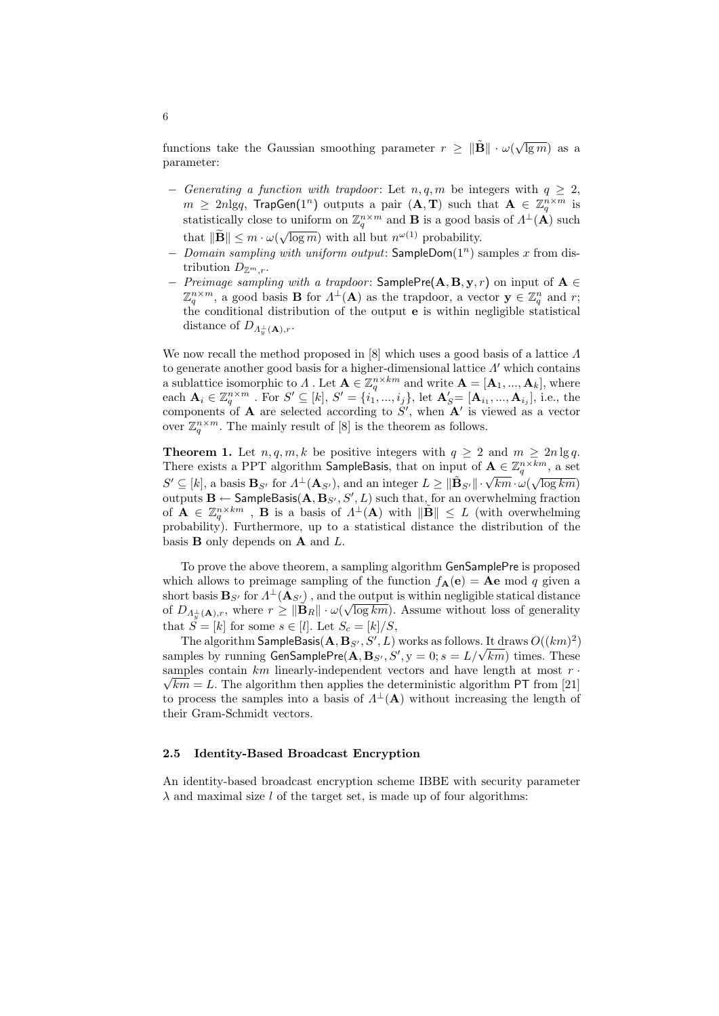functions take the Gaussian smoothing parameter  $r \geq \|\tilde{\mathbf{B}}\| \cdot \omega(\sqrt{\lg m})$  as a parameter:

- − Generating a function with trapdoor: Let  $n, q, m$  be integers with  $q \geq 2$ ,  $m \geq 2n\text{lg}q$ ,  $\text{TrapGen}(1^n)$  outputs a pair  $(\mathbf{A}, \mathbf{T})$  such that  $\mathbf{A} \in \mathbb{Z}_q^{n \times m}$  is statistically close to uniform on  $\mathbb{Z}_q^{n \times m}$  and **B** is a good basis of  $\Lambda^{\perp}(\mathbf{A})$  such that  $\|\widetilde{\mathbf{B}}\| \leq m \cdot \omega(\sqrt{\log m})$  with all but  $n^{\omega(1)}$  probability.
- $-Domain sampling with uniform output: SampleDom(1<sup>n</sup>) samples x from dis$ tribution  $D_{\mathbb{Z}^m,r}$ .
- $-$  Preimage sampling with a trapdoor: SamplePre(A, B, y, r) on input of A  $\in$  $\mathbb{Z}_q^{n \times m}$ , a good basis **B** for  $\Lambda^{\perp}(\mathbf{A})$  as the trapdoor, a vector  $\mathbf{y} \in \mathbb{Z}_q^n$  and r; the conditional distribution of the output e is within negligible statistical distance of  $D_{A_y^{\perp}}(A), r$ .

We now recall the method proposed in [8] which uses a good basis of a lattice  $\Lambda$ to generate another good basis for a higher-dimensional lattice  $\Lambda'$  which contains a sublattice isomorphic to  $\Lambda$  . Let  $\mathbf{A} \in \mathbb{Z}_q^{n \times km}$  and write  $\mathbf{A} = [\mathbf{A}_1, ..., \mathbf{A}_k]$ , where each  $\mathbf{A}_i \in \mathbb{Z}_q^{n \times m}$  . For  $S' \subseteq [k]$ ,  $S' = \{i_1, ..., i_j\}$ , let  $\mathbf{A}'_{S} = [\mathbf{A}_{i_1}, ..., \mathbf{A}_{i_j}]$ , i.e., the components of **A** are selected according to  $S'$ , when  $\mathbf{A}'$  is viewed as a vector over  $\mathbb{Z}_q^{n \times m}$ . The mainly result of [8] is the theorem as follows.

**Theorem 1.** Let  $n, q, m, k$  be positive integers with  $q \geq 2$  and  $m \geq 2n \lg q$ . There exists a PPT algorithm SampleBasis, that on input of  $\mathbf{A} \in \mathbb{Z}_q^{n \times km}$ , a set  $\mathbb{Z}_q^{n \times m}$ , and  $\mathbb{Z}_q^{n \times m}$ There exists a 1 1 1 algorithm Samplebasis, that on input of  $\mathbf{A} \in \mathbb{Z}_q$ , a set  $S' \subseteq [k]$ , a basis  $\mathbf{B}_{S'}$  for  $\Lambda^{\perp}(\mathbf{A}_{S'})$ , and an integer  $L \ge ||\mathbf{B}_{S'}|| \cdot \sqrt{km} \cdot \omega(\sqrt{\log km})$ outputs  $\mathbf{B} \leftarrow$  SampleBasis $(\mathbf{A}, \mathbf{B}_{S'}, S', L)$  such that, for an overwhelming fraction of  $\mathbf{A} \in \mathbb{Z}_q^{n \times km}$ , **B** is a basis of  $\Lambda^{\perp}(\mathbf{A})$  with  $\|\tilde{\mathbf{B}}\| \leq L$  (with overwhelming probability). Furthermore, up to a statistical distance the distribution of the basis  $\bf{B}$  only depends on  $\bf{A}$  and  $\bf{L}$ .

To prove the above theorem, a sampling algorithm GenSamplePre is proposed which allows to preimage sampling of the function  $f_{\mathbf{A}}(\mathbf{e}) = \mathbf{A}\mathbf{e} \mod q$  given a short basis  $\mathbf{B}_{S'}$  for  $\Lambda^{\perp}(\mathbf{A}_{S'})$ , and the output is within negligible statical distance of  $D_{A_{\mathcal{Y}}^{\perp}(\mathbf{A}),r}$ , where  $r \geq \|\tilde{\mathbf{B}}_R\| \cdot \omega(\sqrt{\log km})$ . Assume without loss of generality that  $\check{S} = [k]$  for some  $s \in [l]$ . Let  $S_c = [k]/S$ ,

The algorithm  $\mathsf{SampleBasis}(\mathbf{A}, \mathbf{B}_{S'}, S', L)$  works as follows. It draws  $O((km)^2)$ The algorithm SampleBasis( $A, B_{S'}, S', L$ ) works as follows. It draws  $O((km)^2)$ , samples by running GenSamplePre( $A, B_{S'}, S', y = 0; s = L/\sqrt{km}$ ) times. These samples contain  $km$  linearly-independent vectors and have length at most  $r \cdot \overline{\phantom{r}}$  $\sqrt{km} = L$ . The algorithm then applies the deterministic algorithm PT from [21] to process the samples into a basis of  $\Lambda^{\perp}(\mathbf{A})$  without increasing the length of their Gram-Schmidt vectors.

### 2.5 Identity-Based Broadcast Encryption

An identity-based broadcast encryption scheme IBBE with security parameter  $\lambda$  and maximal size l of the target set, is made up of four algorithms: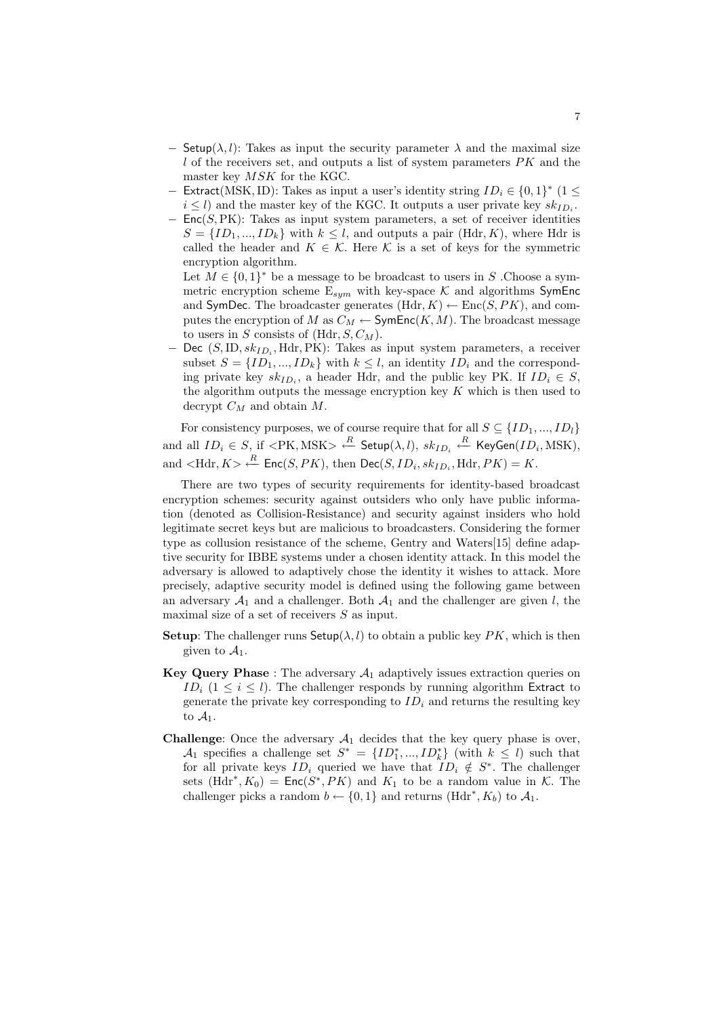- **Setup**( $\lambda, l$ ): Takes as input the security parameter  $\lambda$  and the maximal size l of the receivers set, and outputs a list of system parameters  $PK$  and the master key MSK for the KGC.
- − Extract(MSK, ID): Takes as input a user's identity string  $ID_i \in \{0,1\}^*$  (1 ≤  $i \leq l$ ) and the master key of the KGC. It outputs a user private key  $sk_{ID_i}$ .
- $-$  Enc(S,PK): Takes as input system parameters, a set of receiver identities  $S = \{ID_1, ..., ID_k\}$  with  $k \leq l$ , and outputs a pair (Hdr, K), where Hdr is called the header and  $K \in \mathcal{K}$ . Here  $\mathcal K$  is a set of keys for the symmetric encryption algorithm.

Let  $M \in \{0,1\}^*$  be a message to be broadcast to users in S. Choose a symmetric encryption scheme  $E_{sym}$  with key-space  $K$  and algorithms SymEnc and SymDec. The broadcaster generates  $(Hdr, K) \leftarrow \text{Enc}(S, PK)$ , and computes the encryption of M as  $C_M \leftarrow$  SymEnc $(K, M)$ . The broadcast message to users in S consists of  $(Hdr, S, C_M)$ .

− Dec (S,ID,  $sk_{ID_i}$ , Hdr, PK): Takes as input system parameters, a receiver subset  $S = \{ID_1, ..., ID_k\}$  with  $k \leq l$ , an identity  $ID_i$  and the corresponding private key  $sk_{ID_i}$ , a header Hdr, and the public key PK. If  $ID_i \in S$ , the algorithm outputs the message encryption key  $K$  which is then used to decrypt  $C_M$  and obtain  $M$ .

For consistency purposes, we of course require that for all  $S \subseteq \{ID_1, ..., ID_l\}$ and all  $ID_i \in S$ , if  $lt; \text{PK}, \text{MSK} > \stackrel{R}{\longleftarrow}$  Setup $(\lambda, l), \; sk_{ID_i} \stackrel{R}{\longleftarrow}$  KeyGen $(ID_i, \text{MSK})$ , and  $\lt$ Hdr,  $K$  $\gt \stackrel{R}{\leftarrow}$  Enc(*S*, *PK*), then Dec(*S*, *ID<sub>i</sub>*, *sk<sub>ID<sub>i</sub>*</sub>, Hdr, *PK*) = *K*.

There are two types of security requirements for identity-based broadcast encryption schemes: security against outsiders who only have public information (denoted as Collision-Resistance) and security against insiders who hold legitimate secret keys but are malicious to broadcasters. Considering the former type as collusion resistance of the scheme, Gentry and Waters[15] define adaptive security for IBBE systems under a chosen identity attack. In this model the adversary is allowed to adaptively chose the identity it wishes to attack. More precisely, adaptive security model is defined using the following game between an adversary  $A_1$  and a challenger. Both  $A_1$  and the challenger are given l, the maximal size of a set of receivers S as input.

- **Setup:** The challenger runs  $\mathsf{Setup}(\lambda, l)$  to obtain a public key PK, which is then given to  $A_1$ .
- Key Query Phase : The adversary  $A_1$  adaptively issues extraction queries on ID<sub>i</sub>  $(1 \leq i \leq l)$ . The challenger responds by running algorithm Extract to generate the private key corresponding to  $ID_i$  and returns the resulting key to  $\mathcal{A}_1$ .
- **Challenge:** Once the adversary  $A_1$  decides that the key query phase is over,  $\mathcal{A}_1$  specifies a challenge set  $S^* = \{ID_1^*,...,ID_k^*\}$  (with  $k \leq l$ ) such that for all private keys  $ID_i$  queried we have that  $ID_i \notin S^*$ . The challenger sets  $(Hdr^*, K_0) = \text{Enc}(S^*, PK)$  and  $K_1$  to be a random value in K. The challenger picks a random  $b \leftarrow \{0, 1\}$  and returns  $(Hdr^*, K_b)$  to  $\mathcal{A}_1$ .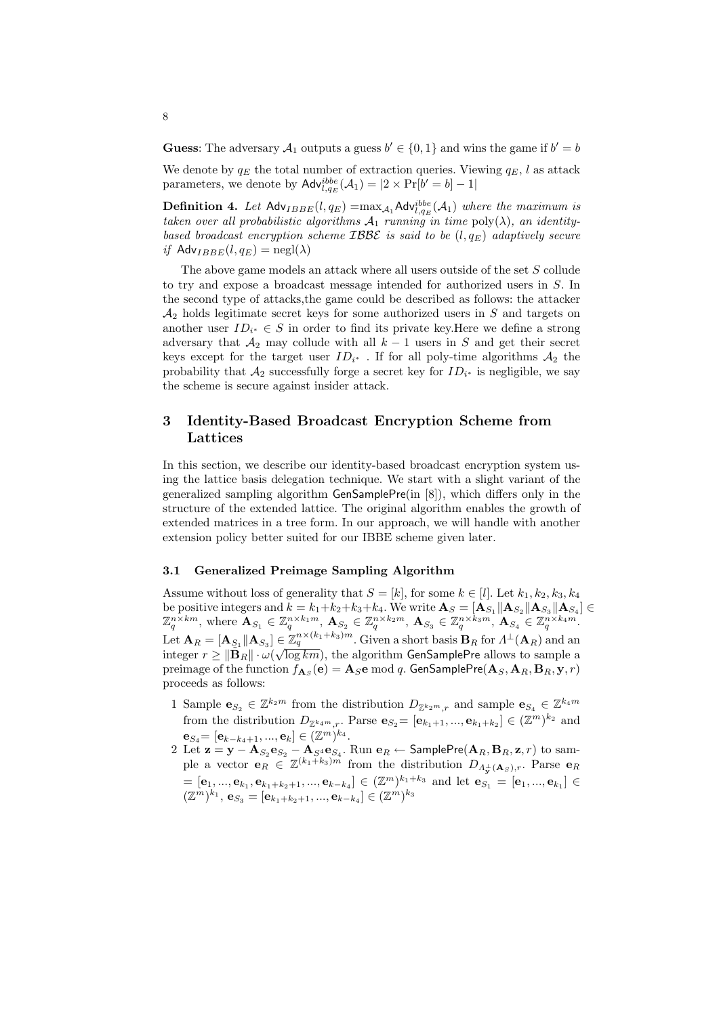**Guess**: The adversary  $A_1$  outputs a guess  $b' \in \{0, 1\}$  and wins the game if  $b' = b$ 

We denote by  $q_E$  the total number of extraction queries. Viewing  $q_E$ , l as attack parameters, we denote by  $\mathsf{Adv}_{l,q_E}^{ibbe}(\mathcal{A}_1) = |2 \times \Pr[b' = b] - 1|$ 

**Definition 4.** Let  $\mathsf{Adv}_{IBBE}(l, q_E) = \max_{\mathcal{A}_1} \mathsf{Adv}_{l,q_E}^{ibbe}(\mathcal{A}_1)$  where the maximum is taken over all probabilistic algorithms  $\mathcal{A}_1$  running in time  $\text{poly}(\lambda)$ , an identitybased broadcast encryption scheme  $IBBE$  is said to be  $(l, q_E)$  adaptively secure if  $\text{Adv}_{IBBE}(l, q_E) = \text{negl}(\lambda)$ 

The above game models an attack where all users outside of the set S collude to try and expose a broadcast message intended for authorized users in S. In the second type of attacks,the game could be described as follows: the attacker  $\mathcal{A}_2$  holds legitimate secret keys for some authorized users in S and targets on another user  $ID_{i^*} \in S$  in order to find its private key. Here we define a strong adversary that  $A_2$  may collude with all  $k-1$  users in S and get their secret keys except for the target user  $ID_{i^*}$ . If for all poly-time algorithms  $A_2$  the probability that  $A_2$  successfully forge a secret key for  $ID_{i^*}$  is negligible, we say the scheme is secure against insider attack.

# 3 Identity-Based Broadcast Encryption Scheme from Lattices

In this section, we describe our identity-based broadcast encryption system using the lattice basis delegation technique. We start with a slight variant of the generalized sampling algorithm GenSamplePre(in [8]), which differs only in the structure of the extended lattice. The original algorithm enables the growth of extended matrices in a tree form. In our approach, we will handle with another extension policy better suited for our IBBE scheme given later.

#### 3.1 Generalized Preimage Sampling Algorithm

Assume without loss of generality that  $S = [k]$ , for some  $k \in [l]$ . Let  $k_1, k_2, k_3, k_4$ be positive integers and  $k = k_1+k_2+k_3+k_4$ . We write  $\mathbf{A}_S = [\mathbf{A}_{S_1} || \mathbf{A}_{S_2} || \mathbf{A}_{S_3} || \mathbf{A}_{S_4}] \in$  $\mathbb{Z}_q^{n \times km}$ , where  $\mathbf{A}_{S_1} \in \mathbb{Z}_q^{n \times k_1 m}$ ,  $\mathbf{A}_{S_2} \in \mathbb{Z}_q^{n \times k_2 m}$ ,  $\mathbf{A}_{S_3} \in \mathbb{Z}_q^{n \times k_3 m}$ ,  $\mathbf{A}_{S_4} \in \mathbb{Z}_q^{n \times k_4 m}$ . Let  $\mathbf{A}_R = [\mathbf{A}_{S_1} || \mathbf{A}_{S_3}] \in \mathbb{Z}_q^{n \times (k_1 + k_3)m}$ . Given a short basis  $\mathbf{B}_R$  for  $\Lambda^{\perp}(\mathbf{A}_R)$  and an integer  $r \geq \|\tilde{\mathbf{B}}_R\| \cdot \omega(\sqrt{\log km})$ , the algorithm GenSamplePre allows to sample a preimage of the function  $f_{\mathbf{A}_S}(\mathbf{e})=\mathbf{A}_S\mathbf{e} \bmod q.$  GenSamplePre $(\mathbf{A}_S,\mathbf{A}_R,\mathbf{B}_R,\mathbf{y},r)$ proceeds as follows:

- 1 Sample  $\mathbf{e}_{S_2} \in \mathbb{Z}^{k_2 m}$  from the distribution  $D_{\mathbb{Z}^{k_2 m},r}$  and sample  $\mathbf{e}_{S_4} \in \mathbb{Z}^{k_4 m}$ from the distribution  $D_{\mathbb{Z}^{k_4m},r}$ . Parse  $\mathbf{e}_{S_2} = [\mathbf{e}_{k_1+1},...,\mathbf{e}_{k_1+k_2}] \in (\mathbb{Z}^m)^{k_2}$  and  ${\bf e}_{S_4} \!\!=\! [{\bf e}_{k-k_4+1},...,{\bf e}_{k}] \in (\mathbb{Z}^{m})^{k_4}.$
- 2 Let  $\mathbf{z} = \mathbf{y} \mathbf{A}_{S_2} \mathbf{e}_{S_2} \mathbf{A}_{S^4} \mathbf{e}_{S_4}$ . Run  $\mathbf{e}_R \leftarrow$  SamplePre $(\mathbf{A}_R, \mathbf{B}_R, \mathbf{z}, r)$  to sample a vector  $\mathbf{e}_R \in \mathbb{Z}^{(k_1+k_3)m}$  from the distribution  $D_{A_{\mathbf{y}}^{\perp}(\mathbf{A}_S),r}$ . Parse  $\mathbf{e}_R$  $=[{\bf e}_1,...,{\bf e}_{k_1},{\bf e}_{k_1+k_2+1},...,{\bf e}_{k-k_4}]\in (\mathbb{Z}^m)^{k_1+k_3}$  and let  ${\bf e}_{S_1}=[{\bf e}_1,...,{\bf e}_{k_1}]\in$  $(\mathbb{Z}^m)^{k_1},\, \mathbf{e}_{S_3}=[\mathbf{e}_{k_1+k_2+1},...,\mathbf{e}_{k-k_4}]\in (\mathbb{Z}^m)^{k_3}$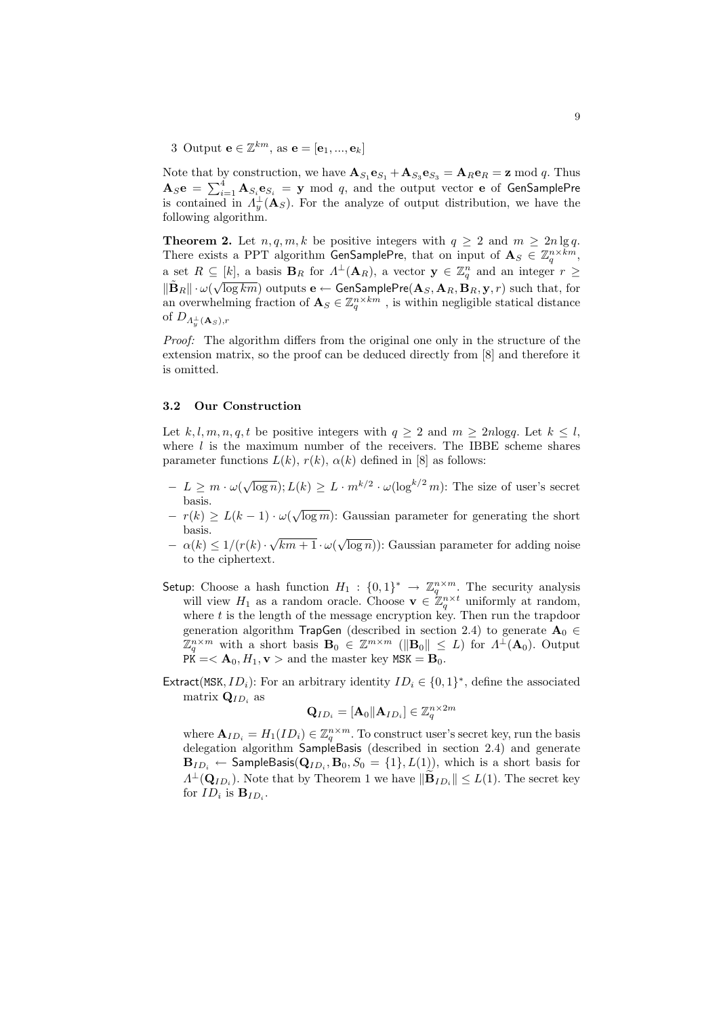3 Output  $\mathbf{e} \in \mathbb{Z}^{km}$ , as  $\mathbf{e} = [\mathbf{e}_1, ..., \mathbf{e}_k]$ 

Note that by construction, we have  $\mathbf{A}_{S_1} \mathbf{e}_{S_1} + \mathbf{A}_{S_3} \mathbf{e}_{S_3} = \mathbf{A}_R \mathbf{e}_R = \mathbf{z} \bmod q$ . Thus As  $e = \sum_{i=1}^{4} A_{Si} e_{Si} = y$  mod q, and the output vector **e** of GenSamplePre is contained in  $\Lambda_y^{\perp}(\mathbf{A}_S)$ . For the analyze of output distribution, we have the following algorithm.

**Theorem 2.** Let  $n, q, m, k$  be positive integers with  $q \geq 2$  and  $m \geq 2n \lg q$ . There exists a PPT algorithm GenSamplePre, that on input of  $\mathbf{A}_S \in \mathbb{Z}_q^{n \times km}$ , a set  $R \subseteq [k]$ , a basis  $\mathbf{B}_R$  for  $\Lambda^{\perp}(\mathbf{A}_R)$ , a vector  $\mathbf{y} \in \mathbb{Z}_q^n$  and an integer  $r \geq 0$  $\|\tilde{\bf B}_R\| \cdot \omega(\sqrt{\log km})$  outputs  ${\bf e} \leftarrow \mathsf{GenSamplePre}({\bf A}_S, {\bf A}_R, {\bf B}_R, {\bf y}, r)$  such that, for an overwhelming fraction of  $\mathbf{A}_{S} \in \mathbb{Z}_{q}^{n \times km}$ , is within negligible statical distance of  $D_{A_y^\perp(\mathbf{A}_S),r}$ 

Proof: The algorithm differs from the original one only in the structure of the extension matrix, so the proof can be deduced directly from [8] and therefore it is omitted.

#### 3.2 Our Construction

Let k, l, m, n, q, t be positive integers with  $q \ge 2$  and  $m \ge 2n \log q$ . Let  $k \le l$ , where  $l$  is the maximum number of the receivers. The IBBE scheme shares parameter functions  $L(k)$ ,  $r(k)$ ,  $\alpha(k)$  defined in [8] as follows:

- $-L \geq m \cdot \omega(\sqrt{\log n}); L(k) \geq L \cdot m^{k/2} \cdot \omega(\log^{k/2} m)$ : The size of user's secret basis.
- $-\frac{r(k)}{2} L(k-1) \cdot \omega(\sqrt{\log m})$ : Gaussian parameter for generating the short basis. √
- $\alpha(k) \leq 1/(r(k))$  $\sqrt{km+1} \cdot \omega(\sqrt{\log n})$ : Gaussian parameter for adding noise to the ciphertext.
- Setup: Choose a hash function  $H_1: \{0,1\}^* \to \mathbb{Z}_q^{n \times m}$ . The security analysis will view  $H_1$  as a random oracle. Choose  $\mathbf{v} \in \mathbb{Z}_q^{n \times t}$  uniformly at random, where  $t$  is the length of the message encryption key. Then run the trapdoor generation algorithm TrapGen (described in section 2.4) to generate  $\mathbf{A}_0 \in$  $\mathbb{Z}_q^{n \times m}$  with a short basis  $\mathbf{B}_0 \in \mathbb{Z}^{m \times m}$  ( $\|\mathbf{B}_0\| \leq L$ ) for  $\Lambda^{\perp}(\mathbf{A}_0)$ . Output  $PK = < \mathbf{A}_0, H_1, \mathbf{v} >$  and the master key  $MSK = \mathbf{B}_0$ .
- Extract(MSK,  $ID_i$ ): For an arbitrary identity  $ID_i \in \{0,1\}^*$ , define the associated matrix  $\mathbf{Q}_{ID_i}$  as

$$
\mathbf{Q}_{ID_i}=[\mathbf{A}_0\|\mathbf{A}_{ID_i}]\in\mathbb{Z}_q^{n\times 2m}
$$

where  $\mathbf{A}_{ID_i} = H_1(ID_i) \in \mathbb{Z}_q^{n \times m}$ . To construct user's secret key, run the basis delegation algorithm SampleBasis (described in section 2.4) and generate  ${\bf B}_{ID_i} \leftarrow {\sf SampleBasis}({\bf Q}_{ID_i}, {\bf B}_0, S_0 = \{1\}, L(1)), \text{ which is a short basis for }$  $\Lambda^{\perp}(\mathbf{Q}_{ID_i})$ . Note that by Theorem 1 we have  $\|\widetilde{\mathbf{B}}_{ID_i}\| \le L(1)$ . The secret key for  $ID_i$  is  $\mathbf{B}_{ID_i}$ .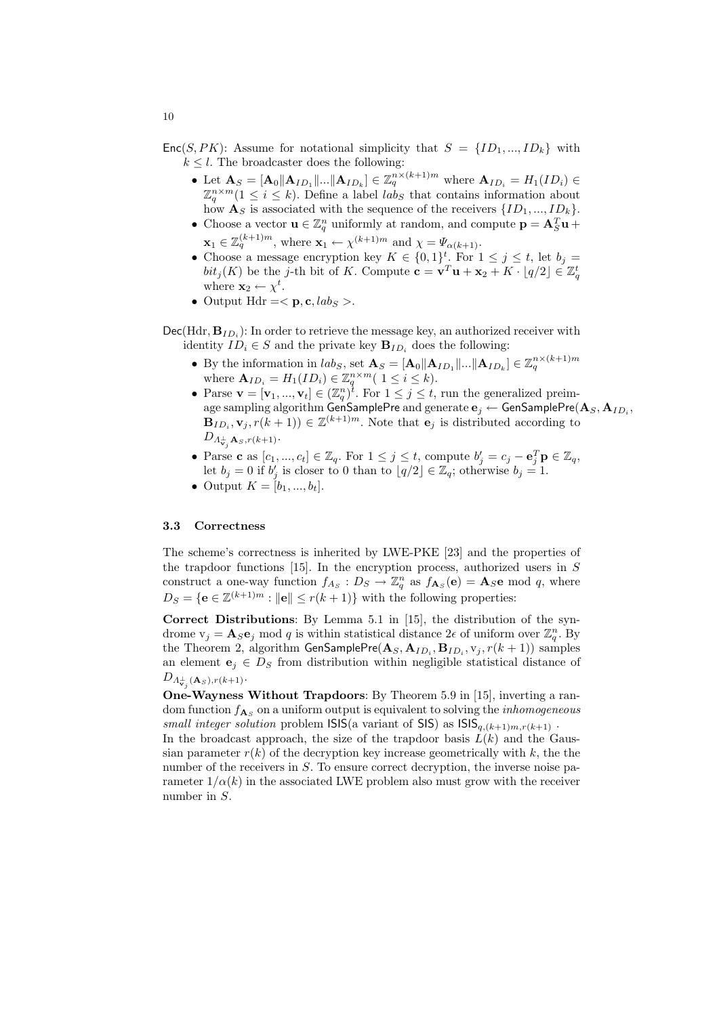$Enc(S, PK)$ : Assume for notational simplicity that  $S = \{ID_1, ..., ID_k\}$  with  $k \leq l$ . The broadcaster does the following:

- Let  $\mathbf{A}_S = [\mathbf{A}_0 || \mathbf{A}_{ID_1} || ... || \mathbf{A}_{ID_k}] \in \mathbb{Z}_q^{n \times (k+1)m}$  where  $\mathbf{A}_{ID_i} = H_1(ID_i) \in$  $\mathbb{Z}_q^{n \times m} (1 \leq i \leq k)$ . Define a label  $lab_S$  that contains information about how  $\mathbf{A}_S$  is associated with the sequence of the receivers  $\{ID_1, ..., ID_k\}.$
- Choose a vector  $\mathbf{u} \in \mathbb{Z}_q^n$  uniformly at random, and compute  $\mathbf{p} = \mathbf{A}_S^T \mathbf{u} + \mathbf{A}_S^T \mathbf{u}$  $\mathbf{x}_1 \in \mathbb{Z}_q^{(k+1)m}$ , where  $\mathbf{x}_1 \leftarrow \chi^{(k+1)m}$  and  $\chi = \Psi_{\alpha(k+1)}$ .
- Choose a message encryption key  $K \in \{0,1\}^t$ . For  $1 \leq j \leq t$ , let  $b_j =$  $bit_j(K)$  be the j-th bit of K. Compute  $\mathbf{c} = \mathbf{v}^T \mathbf{u} + \mathbf{x}_2 + K \cdot \lfloor q/2 \rfloor \in \mathbb{Z}_q^t$ where  $\mathbf{x}_2 \leftarrow \chi^t$ .
- Output Hdr = <  $\mathbf{p}, \mathbf{c}, \text{lab}_S >$ .

 $\text{Dec}(\text{Hdr}, \mathbf{B}_{ID_i})$ : In order to retrieve the message key, an authorized receiver with identity  $ID_i \in S$  and the private key  $\mathbf{B}_{ID_i}$  does the following:

- By the information in  $lab_S$ , set  $\mathbf{A}_S = [\mathbf{A}_0 || \mathbf{A}_{ID_1} || ... || \mathbf{A}_{ID_k}] \in \mathbb{Z}_q^{n \times (k+1)m}$ where  $\mathbf{A}_{ID_i} = H_1(ID_i) \in \mathbb{Z}_q^{n \times m} (1 \leq i \leq k).$
- Parse  $\mathbf{v} = [\mathbf{v}_1, ..., \mathbf{v}_t] \in (\mathbb{Z}_q^n)^{\hat{t}}$ . For  $1 \leq j \leq t$ , run the generalized preimage sampling algorithm <code>GenSamplePre</code> and <code>generate</code>  $\mathbf{e}_j \leftarrow$  <code>GenSamplePre $(\mathbf{A}_S, \mathbf{A}_{ID_i},$ </code>  $\mathbf{B}_{ID_i}, \mathbf{v}_j, r(k+1)) \in \mathbb{Z}^{(k+1)m}$ . Note that  $\mathbf{e}_j$  is distributed according to  $D_{A_{{\bf v}_j}^\perp {\bf A}_S, r(k+1)}.$
- Parse c as  $[c_1, ..., c_t] \in \mathbb{Z}_q$ . For  $1 \leq j \leq t$ , compute  $b'_j = c_j \mathbf{e}_j^T \mathbf{p} \in \mathbb{Z}_q$ , let  $b_j = 0$  if  $b'_j$  is closer to 0 than to  $\lfloor q/2 \rfloor \in \mathbb{Z}_q$ ; otherwise  $b_j = 1$ .
- Output  $K = [b_1, ..., b_t].$

#### 3.3 Correctness

The scheme's correctness is inherited by LWE-PKE [23] and the properties of the trapdoor functions  $[15]$ . In the encryption process, authorized users in S construct a one-way function  $f_{As}: D_S \to \mathbb{Z}_q^n$  as  $f_{\mathbf{A}_S}(\mathbf{e}) = \mathbf{A}_S \mathbf{e}$  mod q, where  $D_S = \{e \in \mathbb{Z}^{(k+1)m} : ||e|| \le r(k+1)\}\$  with the following properties:

Correct Distributions: By Lemma 5.1 in [15], the distribution of the syndrome  $v_j = A_S e_j$  mod q is within statistical distance  $2\epsilon$  of uniform over  $\mathbb{Z}_q^n$ . By the Theorem 2, algorithm  $\mathsf{GenSamplePre}(\mathbf{A}_S, \mathbf{A}_{ID_i}, \mathbf{B}_{ID_i}, \mathrm{v}_j, r(k+1))$  samples an element  $e_j \in D_S$  from distribution within negligible statistical distance of  $D_{\Lambda^{\perp}_{\mathbf{v}_j}(\mathbf{A}_S), r(k+1)}.$ 

One-Wayness Without Trapdoors: By Theorem 5.9 in [15], inverting a random function  $f_{\mathbf{A}_S}$  on a uniform output is equivalent to solving the *inhomogeneous* small integer solution problem  $\textsf{ISIS}(a \text{ variant of } \textsf{SIS})$  as  $\textsf{ISIS}_{q,(k+1)m,r(k+1)}$ .

In the broadcast approach, the size of the trapdoor basis  $L(k)$  and the Gaussian parameter  $r(k)$  of the decryption key increase geometrically with k, the the number of the receivers in S. To ensure correct decryption, the inverse noise parameter  $1/\alpha(k)$  in the associated LWE problem also must grow with the receiver number in S.

10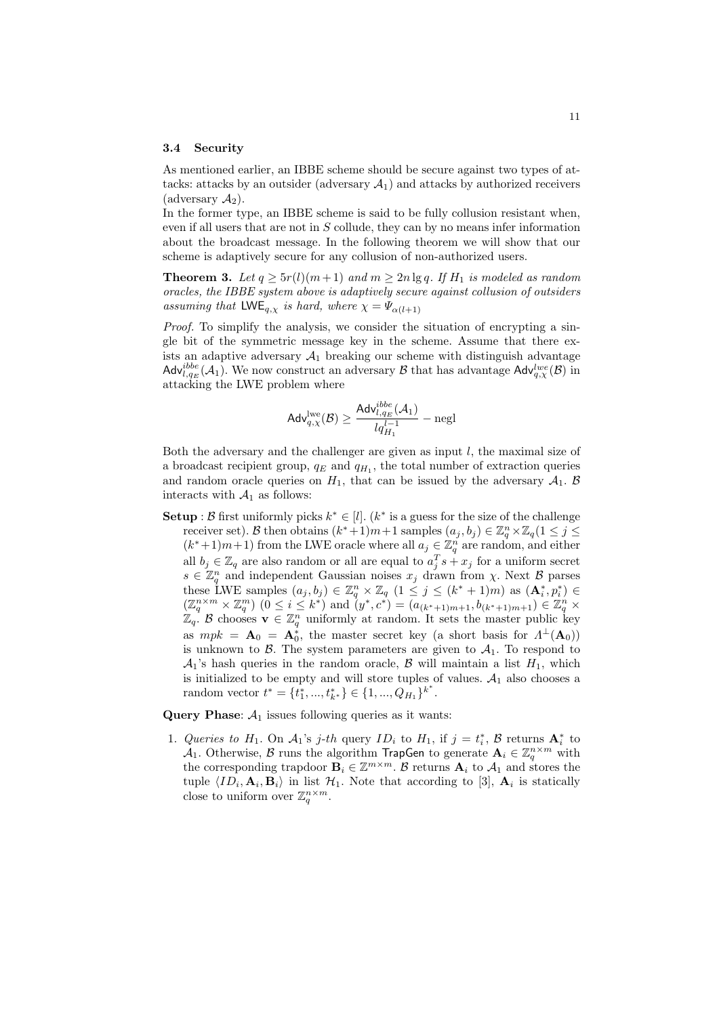#### 3.4 Security

As mentioned earlier, an IBBE scheme should be secure against two types of attacks: attacks by an outsider (adversary  $A_1$ ) and attacks by authorized receivers  $(\text{adversary }\mathcal{A}_2).$ 

In the former type, an IBBE scheme is said to be fully collusion resistant when, even if all users that are not in  $S$  collude, they can by no means infer information about the broadcast message. In the following theorem we will show that our scheme is adaptively secure for any collusion of non-authorized users.

**Theorem 3.** Let  $q \ge 5r(l)(m+1)$  and  $m \ge 2n \lg q$ . If  $H_1$  is modeled as random oracles, the IBBE system above is adaptively secure against collusion of outsiders assuming that  $\mathsf{LWE}_{q,\chi}$  is hard, where  $\chi = \Psi_{\alpha(l+1)}$ 

Proof. To simplify the analysis, we consider the situation of encrypting a single bit of the symmetric message key in the scheme. Assume that there exists an adaptive adversary  $A_1$  breaking our scheme with distinguish advantage  $\mathsf{Adv}_{l,q_E}^{ibbe}(\mathcal{A}_1)$ . We now construct an adversary  $\mathcal B$  that has advantage  $\mathsf{Adv}_{q,\chi}^{lwe}(\mathcal B)$  in attacking the LWE problem where

$$
\mathsf{Adv}_{q,\chi}^{\mathrm{lwe}}(\mathcal{B}) \geq \frac{\mathsf{Adv}_{l,q_E}^{\mathit{ibbe}}(\mathcal{A}_1)}{lq_{H_1}^{l-1}} - \mathrm{negl}
$$

Both the adversary and the challenger are given as input  $l$ , the maximal size of a broadcast recipient group,  $q_E$  and  $q_{H_1}$ , the total number of extraction queries and random oracle queries on  $H_1$ , that can be issued by the adversary  $A_1$ . B interacts with  $A_1$  as follows:

**Setup**:  $\mathcal{B}$  first uniformly picks  $k^* \in [l]$ .  $(k^*$  is a guess for the size of the challenge receiver set). B then obtains  $(k^*+1)m+1$  samples  $(a_j, b_j) \in \mathbb{Z}_q^n \times \mathbb{Z}_q (1 \le j \le n)$  $(k^*+1)m+1$  from the LWE oracle where all  $a_j \in \mathbb{Z}_q^n$  are random, and either all  $b_j \in \mathbb{Z}_q$  are also random or all are equal to  $a_j^T s + x_j$  for a uniform secret  $s \in \mathbb{Z}_q^n$  and independent Gaussian noises  $x_j$  drawn from  $\chi$ . Next B parses these LWE samples  $(a_j, b_j) \in \mathbb{Z}_q^n \times \mathbb{Z}_q$   $(1 \leq j \leq (k^* + 1)m)$  as  $(\mathbf{A}_i^*, p_i^*) \in$  $(\mathbb{Z}_q^{n \times m} \times \mathbb{Z}_q^m)$   $(0 \le i \le k^*)$  and  $(y^*, c^*) = (a_{(k^*+1)m+1}, b_{(k^*+1)m+1}) \in \mathbb{Z}_q^n$  $\mathbb{Z}_q$ . B chooses  $\mathbf{v} \in \mathbb{Z}_q^n$  uniformly at random. It sets the master public key as  $mpk = \mathbf{A}_0 = \mathbf{A}_0^*$ , the master secret key (a short basis for  $\Lambda^{\perp}(\mathbf{A}_0)$ ) is unknown to  $\beta$ . The system parameters are given to  $\mathcal{A}_1$ . To respond to  $\mathcal{A}_1$ 's hash queries in the random oracle,  $\mathcal B$  will maintain a list  $H_1$ , which is initialized to be empty and will store tuples of values.  $\mathcal{A}_1$  also chooses a random vector  $t^* = \{t_1^*, ..., t_{k^*}^*\} \in \{1, ..., Q_{H_1}\}^{k^*}.$ 

Query Phase:  $A_1$  issues following queries as it wants:

1. Queries to  $H_1$ . On  $A_1$ 's j-th query  $ID_i$  to  $H_1$ , if  $j = t_i^*$ ,  $\beta$  returns  $A_i^*$  to  $\mathcal{A}_1$ . Otherwise,  $\mathcal{B}$  runs the algorithm TrapGen to generate  $\mathbf{A}_i \in \mathbb{Z}_q^{n \times m}$  with the corresponding trapdoor  $\mathbf{B}_i \in \mathbb{Z}^{m \times m}$ . B returns  $\mathbf{A}_i$  to  $\mathcal{A}_1$  and stores the tuple  $\langle ID_i, \mathbf{A}_i, \mathbf{B}_i \rangle$  in list  $\mathcal{H}_1$ . Note that according to [3],  $\mathbf{A}_i$  is statically close to uniform over  $\mathbb{Z}_q^{n \times m}$ .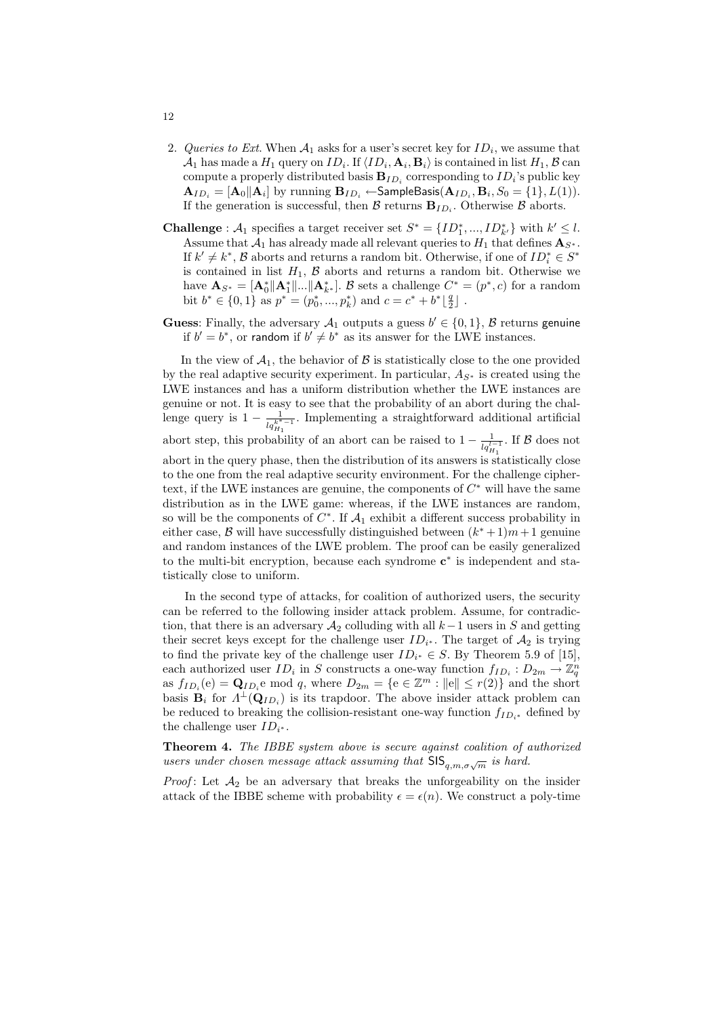- 2. Queries to Ext. When  $A_1$  asks for a user's secret key for  $ID_i$ , we assume that  $\mathcal{A}_1$  has made a  $H_1$  query on  $ID_i.$  If  $\langle ID_i, {\bf A}_i, {\bf B}_i \rangle$  is contained in list  $H_1, \mathcal{B}$  can compute a properly distributed basis  ${\bf B}_{ID_i}$  corresponding to  $ID_i$ 's public key  $\mathbf{A}_{ID_i}=[\mathbf{A}_0\|\mathbf{A}_i]$  by running  $\mathbf{B}_{ID_i}\leftarrow$ SampleBasis $(\mathbf{A}_{ID_i}, \mathbf{B}_i, S_0=\{1\}, L(1)).$ If the generation is successful, then  $\mathcal{B}$  returns  $B_{ID_i}$ . Otherwise  $\mathcal{B}$  aborts.
- **Challenge**:  $A_1$  specifies a target receiver set  $S^* = \{ID_1^*, ..., ID_{k'}^*\}$  with  $k' \leq l$ . Assume that  $\mathcal{A}_1$  has already made all relevant queries to  $H_1$  that defines  $\mathbf{A}_{S^*}$ . If  $k' \neq k^*$ ,  $\mathcal{B}$  aborts and returns a random bit. Otherwise, if one of  $ID_i^* \in S^*$ is contained in list  $H_1$ ,  $\beta$  aborts and returns a random bit. Otherwise we have  $\mathbf{A}_{S^*} = [\mathbf{A}_0^* || \mathbf{A}_1^* || ... || \mathbf{A}_{k^*}^*]$ . B sets a challenge  $C^* = (p^*, c)$  for a random bit  $b^* \in \{0, 1\}$  as  $p^* = (p_0^*, ..., p_k^*)$  and  $c = c^* + b^* \lfloor \frac{q}{2} \rfloor$ .
- **Guess**: Finally, the adversary  $A_1$  outputs a guess  $b' \in \{0, 1\}$ ,  $\beta$  returns genuine if  $b' = b^*$ , or random if  $b' \neq b^*$  as its answer for the LWE instances.

In the view of  $A_1$ , the behavior of  $B$  is statistically close to the one provided by the real adaptive security experiment. In particular,  $A_{S^*}$  is created using the LWE instances and has a uniform distribution whether the LWE instances are genuine or not. It is easy to see that the probability of an abort during the challenge query is  $1 - \frac{1}{lq_{H_1}^{k^*-1}}$ . Implementing a straightforward additional artificial abort step, this probability of an abort can be raised to  $1 - \frac{1}{l_q l_{H_1}^{-1}}$ . If  $\beta$  does not abort in the query phase, then the distribution of its answers is statistically close to the one from the real adaptive security environment. For the challenge ciphertext, if the LWE instances are genuine, the components of  $C^*$  will have the same distribution as in the LWE game: whereas, if the LWE instances are random, so will be the components of  $C^*$ . If  $\mathcal{A}_1$  exhibit a different success probability in either case, B will have successfully distinguished between  $(k^* + 1)m + 1$  genuine and random instances of the LWE problem. The proof can be easily generalized to the multi-bit encryption, because each syndrome  $c^*$  is independent and statistically close to uniform.

In the second type of attacks, for coalition of authorized users, the security can be referred to the following insider attack problem. Assume, for contradiction, that there is an adversary  $A_2$  colluding with all  $k-1$  users in S and getting their secret keys except for the challenge user  $ID_{i^*}$ . The target of  $\mathcal{A}_2$  is trying to find the private key of the challenge user  $ID_{i^*} \in S$ . By Theorem 5.9 of [15], each authorized user  $ID_i$  in S constructs a one-way function  $f_{ID_i}: D_{2m} \to \mathbb{Z}_q^n$ as  $f_{ID_i}(e) = \mathbf{Q}_{ID_i}e \text{ mod } q$ , where  $D_{2m} = \{e \in \mathbb{Z}^m : ||e|| \le r(2)\}\$  and the short basis  $B_i$  for  $\Lambda^{\perp}(\mathbf{Q}_{ID_i})$  is its trapdoor. The above insider attack problem can be reduced to breaking the collision-resistant one-way function  $f_{ID_{i^*}}$  defined by the challenge user  $ID_{i^*}$ .

Theorem 4. The IBBE system above is secure against coalition of authorized users under chosen message attack assuming that  $\mathsf{SIS}_{q,m,\sigma\sqrt{m}}$  is hard.

*Proof*: Let  $A_2$  be an adversary that breaks the unforgeability on the insider attack of the IBBE scheme with probability  $\epsilon = \epsilon(n)$ . We construct a poly-time

12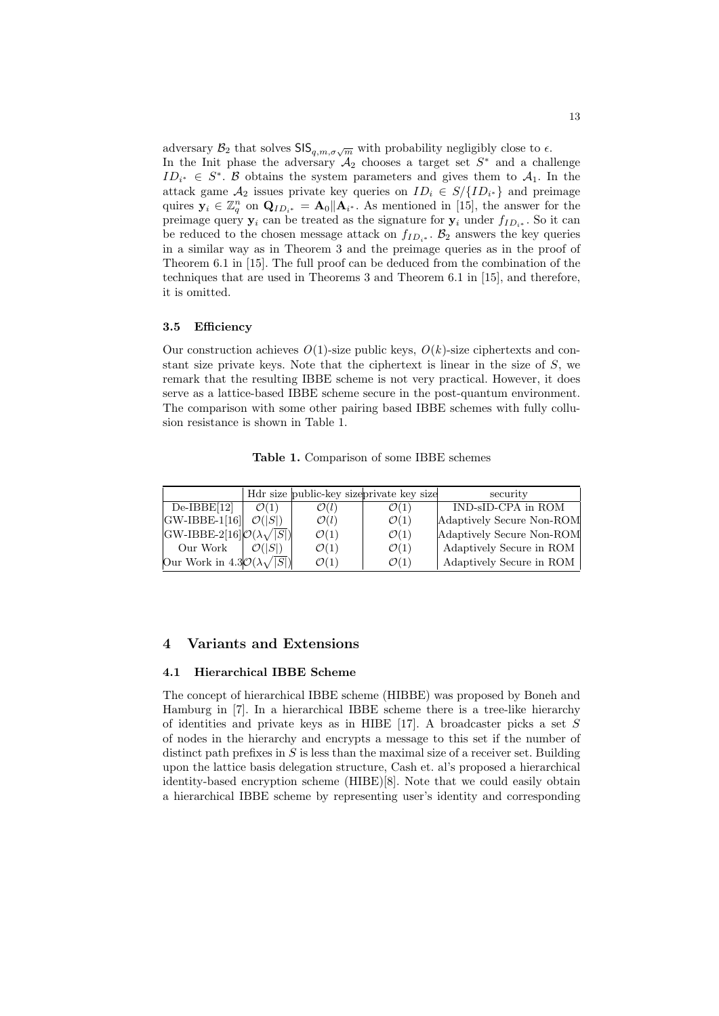adversary  $\mathcal{B}_2$  that solves  $\mathsf{SIS}_{q,m,\sigma\sqrt{m}}$  with probability negligibly close to  $\epsilon$ . In the Init phase the adversary  $A_2$  chooses a target set  $S^*$  and a challenge  $ID_{i^*} \in S^*$ . B obtains the system parameters and gives them to  $A_1$ . In the attack game  $A_2$  issues private key queries on  $ID_i \in S / \{ID_{i^*}\}\$ and preimage quires  $y_i \in \mathbb{Z}_q^n$  on  $\mathbf{Q}_{ID_{i^*}} = \mathbf{A}_0 || \mathbf{A}_{i^*}$ . As mentioned in [15], the answer for the preimage query  $y_i$  can be treated as the signature for  $y_i$  under  $f_{ID_{i^*}}$ . So it can be reduced to the chosen message attack on  $f_{ID_{i*}}$ .  $\mathcal{B}_2$  answers the key queries in a similar way as in Theorem 3 and the preimage queries as in the proof of Theorem 6.1 in [15]. The full proof can be deduced from the combination of the techniques that are used in Theorems 3 and Theorem 6.1 in [15], and therefore, it is omitted.

#### 3.5 Efficiency

Our construction achieves  $O(1)$ -size public keys,  $O(k)$ -size ciphertexts and constant size private keys. Note that the ciphertext is linear in the size of  $S$ , we remark that the resulting IBBE scheme is not very practical. However, it does serve as a lattice-based IBBE scheme secure in the post-quantum environment. The comparison with some other pairing based IBBE schemes with fully collusion resistance is shown in Table 1.

Table 1. Comparison of some IBBE schemes

|                                                 |                    |                  | Hdr size public-key size private key size | security                  |
|-------------------------------------------------|--------------------|------------------|-------------------------------------------|---------------------------|
| $De-IBBE[12]$                                   | $\mathcal{O}(1)$   | $\mathcal{O}(l)$ | $\mathcal{O}(1)$                          | IND-sID-CPA in ROM        |
| $ GW-IBBE-1 16 $                                | $\mathcal{O}( S )$ | $\mathcal{O}(l)$ | $\mathcal{O}(1)$                          | Adaptively Secure Non-ROM |
| $ GW-IBBE-2[16]Q(\lambda\sqrt{ S }) $           |                    | $\mathcal{O}(1)$ | $\mathcal{O}(1)$                          | Adaptively Secure Non-ROM |
| Our Work                                        | $\mathcal{O}( S )$ | $\mathcal{O}(1)$ | $\mathcal{O}(1)$                          | Adaptively Secure in ROM  |
| Our Work in $4.3\mathcal{O}(\lambda\sqrt{ S })$ |                    | $\mathcal{O}(1)$ | $\mathcal{O}(1)$                          | Adaptively Secure in ROM  |

# 4 Variants and Extensions

#### 4.1 Hierarchical IBBE Scheme

The concept of hierarchical IBBE scheme (HIBBE) was proposed by Boneh and Hamburg in [7]. In a hierarchical IBBE scheme there is a tree-like hierarchy of identities and private keys as in HIBE [17]. A broadcaster picks a set  $S$ of nodes in the hierarchy and encrypts a message to this set if the number of distinct path prefixes in  $S$  is less than the maximal size of a receiver set. Building upon the lattice basis delegation structure, Cash et. al's proposed a hierarchical identity-based encryption scheme (HIBE)[8]. Note that we could easily obtain a hierarchical IBBE scheme by representing user's identity and corresponding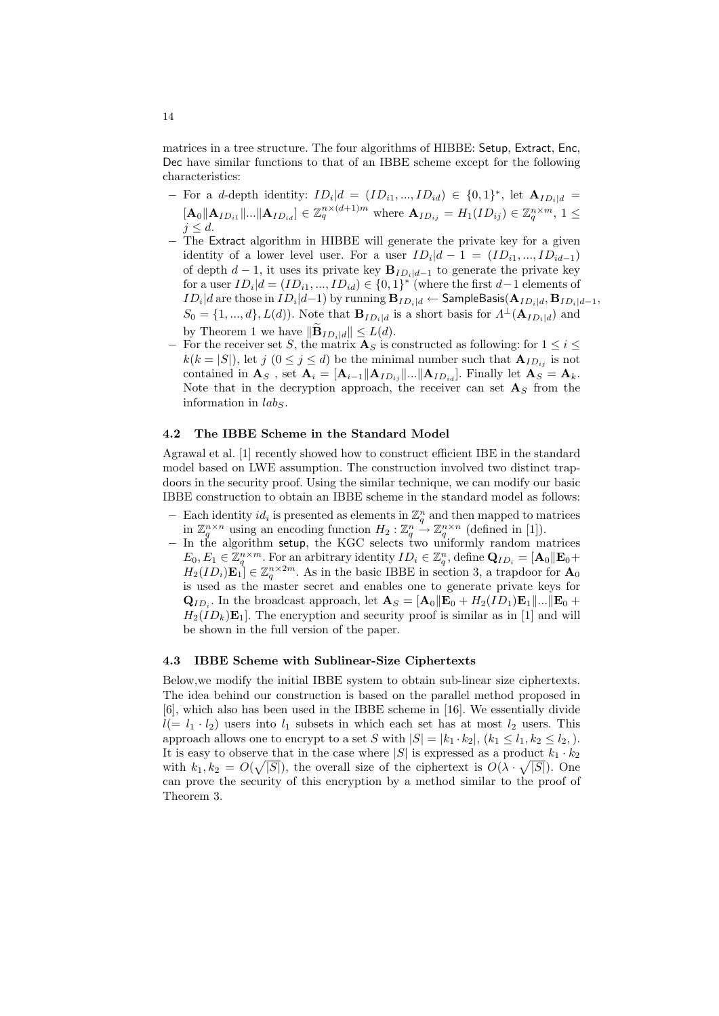matrices in a tree structure. The four algorithms of HIBBE: Setup, Extract, Enc, Dec have similar functions to that of an IBBE scheme except for the following characteristics:

- For a d-depth identity:  $ID_i|d = (ID_{i1}, ..., ID_{id}) \in \{0, 1\}^*$ , let  $\mathbf{A}_{ID_i|d}$  =  $[\mathbf{A}_0 \|\mathbf{A}_{ID_{i1}}\|... \|\mathbf{A}_{ID_{id}}] \in \mathbb{Z}_q^{n \times (d+1)m}$  where  $\mathbf{A}_{ID_{ij}} = H_1(ID_{ij}) \in \mathbb{Z}_q^{n \times m}$ ,  $1 \leq$  $j \leq d$ .
- − The Extract algorithm in HIBBE will generate the private key for a given identity of a lower level user. For a user  $ID_i|d-1 = (ID_{i1},...,ID_{id-1})$ of depth  $d-1$ , it uses its private key  $\mathbf{B}_{ID_i|d-1}$  to generate the private key for a user  $ID_i|d = (ID_{i1}, ..., ID_{id}) \in \{0, 1\}^*$  (where the first  $d-1$  elements of  $ID_i|d$  are those in  $ID_i|d{-}1)$  by running  ${\bf B}_{ID_i|d} \leftarrow {\sf SampleBasis}({\bf A}_{ID_i|d}, {\bf B}_{ID_i|d{-}1},$  $S_0 = \{1, ..., d\}, L(d)$ ). Note that  $\mathbf{B}_{ID_i|d}$  is a short basis for  $\Lambda^{\perp}(\mathbf{A}_{ID_i|d})$  and by Theorem 1 we have  $\|\widetilde{\mathbf{B}}_{ID_i|d}\| \leq L(d)$ .
- For the receiver set S, the matrix  $\mathbf{A}_S$  is constructed as following: for  $1 \leq i \leq$  $k(k = |S|)$ , let  $j \ (0 \le j \le d)$  be the minimal number such that  $\mathbf{A}_{ID_{ij}}$  is not contained in  $\mathbf{A}_S$  , set  $\mathbf{A}_i = [\mathbf{A}_{i-1} || \mathbf{A}_{ID_{ij}} || ... || \mathbf{A}_{ID_{id}}]$  . Finally let  $\mathbf{A}_S = \mathbf{A}_k$ . Note that in the decryption approach, the receiver can set  $A<sub>S</sub>$  from the information in  $lab_S$ .

#### 4.2 The IBBE Scheme in the Standard Model

Agrawal et al. [1] recently showed how to construct efficient IBE in the standard model based on LWE assumption. The construction involved two distinct trapdoors in the security proof. Using the similar technique, we can modify our basic IBBE construction to obtain an IBBE scheme in the standard model as follows:

- − Each identity  $id_i$  is presented as elements in  $\mathbb{Z}_q^n$  and then mapped to matrices in  $\mathbb{Z}_q^{n \times n}$  using an encoding function  $H_2: \mathbb{Z}_q^n \to \mathbb{Z}_q^{n \times n}$  (defined in [1]).
- − In the algorithm setup, the KGC selects two uniformly random matrices  $E_0, E_1 \in \mathbb{Z}_q^{n \times m}$ . For an arbitrary identity  $ID_i \in \mathbb{Z}_q^n$ , define  $\mathbf{Q}_{ID_i} = [\mathbf{A}_0 \|\mathbf{E}_0 + \mathbf{A}_i\|^2]$  $H_2(ID_i)\mathbf{E}_1] \in \mathbb{Z}_q^{n \times 2m}$ . As in the basic IBBE in section 3, a trapdoor for  $\mathbf{A}_0$ is used as the master secret and enables one to generate private keys for  $\mathbf{Q}_{ID_i}$ . In the broadcast approach, let  $\mathbf{A}_S = [\mathbf{A}_0 || \mathbf{E}_0 + H_2(ID_1) \mathbf{E}_1 || \dots || \mathbf{E}_0 +$  $H_2(ID_k)\mathbf{E}_1$ . The encryption and security proof is similar as in [1] and will be shown in the full version of the paper.

#### 4.3 IBBE Scheme with Sublinear-Size Ciphertexts

Below,we modify the initial IBBE system to obtain sub-linear size ciphertexts. The idea behind our construction is based on the parallel method proposed in [6], which also has been used in the IBBE scheme in [16]. We essentially divide  $l(= l_1 \cdot l_2)$  users into  $l_1$  subsets in which each set has at most  $l_2$  users. This approach allows one to encrypt to a set S with  $|S| = |k_1 \cdot k_2|, (k_1 \leq l_1, k_2 \leq l_2, ).$ It is easy to observe that in the case where  $|S|$  is expressed as a product  $k_1 \cdot k_2$ with  $k_1, k_2 = O(\sqrt{|S|})$ , the overall size of the ciphertext is  $O(\lambda \cdot \sqrt{|S|})$ . One can prove the security of this encryption by a method similar to the proof of Theorem 3.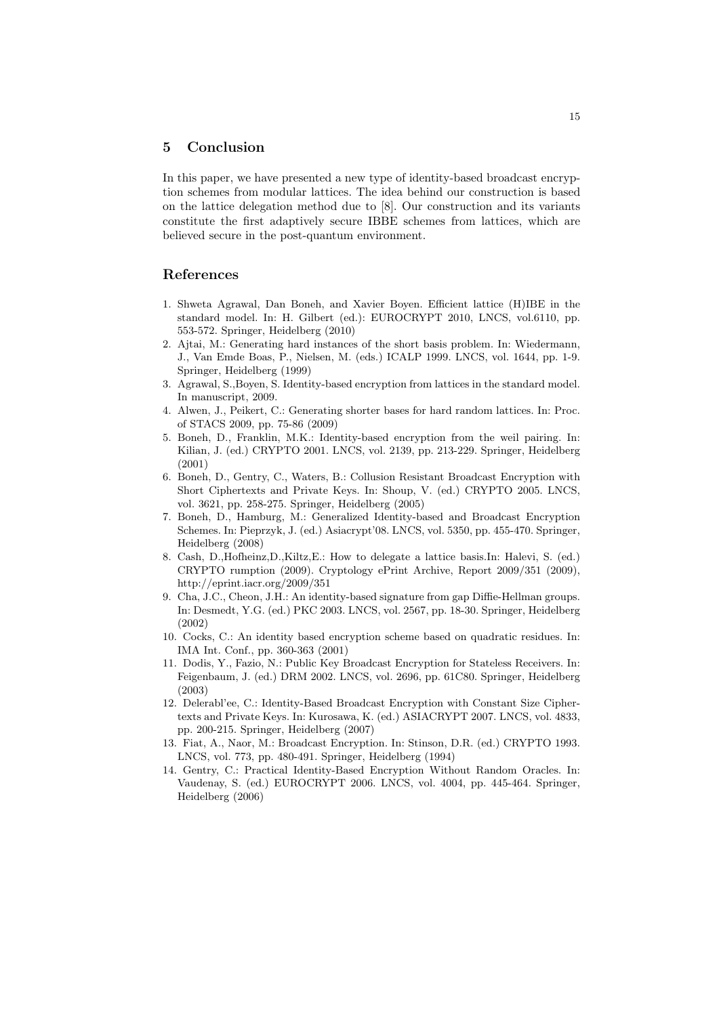# 5 Conclusion

In this paper, we have presented a new type of identity-based broadcast encryption schemes from modular lattices. The idea behind our construction is based on the lattice delegation method due to [8]. Our construction and its variants constitute the first adaptively secure IBBE schemes from lattices, which are believed secure in the post-quantum environment.

# References

- 1. Shweta Agrawal, Dan Boneh, and Xavier Boyen. Efficient lattice (H)IBE in the standard model. In: H. Gilbert (ed.): EUROCRYPT 2010, LNCS, vol.6110, pp. 553-572. Springer, Heidelberg (2010)
- 2. Ajtai, M.: Generating hard instances of the short basis problem. In: Wiedermann, J., Van Emde Boas, P., Nielsen, M. (eds.) ICALP 1999. LNCS, vol. 1644, pp. 1-9. Springer, Heidelberg (1999)
- 3. Agrawal, S.,Boyen, S. Identity-based encryption from lattices in the standard model. In manuscript, 2009.
- 4. Alwen, J., Peikert, C.: Generating shorter bases for hard random lattices. In: Proc. of STACS 2009, pp. 75-86 (2009)
- 5. Boneh, D., Franklin, M.K.: Identity-based encryption from the weil pairing. In: Kilian, J. (ed.) CRYPTO 2001. LNCS, vol. 2139, pp. 213-229. Springer, Heidelberg (2001)
- 6. Boneh, D., Gentry, C., Waters, B.: Collusion Resistant Broadcast Encryption with Short Ciphertexts and Private Keys. In: Shoup, V. (ed.) CRYPTO 2005. LNCS, vol. 3621, pp. 258-275. Springer, Heidelberg (2005)
- 7. Boneh, D., Hamburg, M.: Generalized Identity-based and Broadcast Encryption Schemes. In: Pieprzyk, J. (ed.) Asiacrypt'08. LNCS, vol. 5350, pp. 455-470. Springer, Heidelberg (2008)
- 8. Cash, D.,Hofheinz,D.,Kiltz,E.: How to delegate a lattice basis.In: Halevi, S. (ed.) CRYPTO rumption (2009). Cryptology ePrint Archive, Report 2009/351 (2009), http://eprint.iacr.org/2009/351
- 9. Cha, J.C., Cheon, J.H.: An identity-based signature from gap Diffie-Hellman groups. In: Desmedt, Y.G. (ed.) PKC 2003. LNCS, vol. 2567, pp. 18-30. Springer, Heidelberg (2002)
- 10. Cocks, C.: An identity based encryption scheme based on quadratic residues. In: IMA Int. Conf., pp. 360-363 (2001)
- 11. Dodis, Y., Fazio, N.: Public Key Broadcast Encryption for Stateless Receivers. In: Feigenbaum, J. (ed.) DRM 2002. LNCS, vol. 2696, pp. 61C80. Springer, Heidelberg (2003)
- 12. Delerabl'ee, C.: Identity-Based Broadcast Encryption with Constant Size Ciphertexts and Private Keys. In: Kurosawa, K. (ed.) ASIACRYPT 2007. LNCS, vol. 4833, pp. 200-215. Springer, Heidelberg (2007)
- 13. Fiat, A., Naor, M.: Broadcast Encryption. In: Stinson, D.R. (ed.) CRYPTO 1993. LNCS, vol. 773, pp. 480-491. Springer, Heidelberg (1994)
- 14. Gentry, C.: Practical Identity-Based Encryption Without Random Oracles. In: Vaudenay, S. (ed.) EUROCRYPT 2006. LNCS, vol. 4004, pp. 445-464. Springer, Heidelberg (2006)